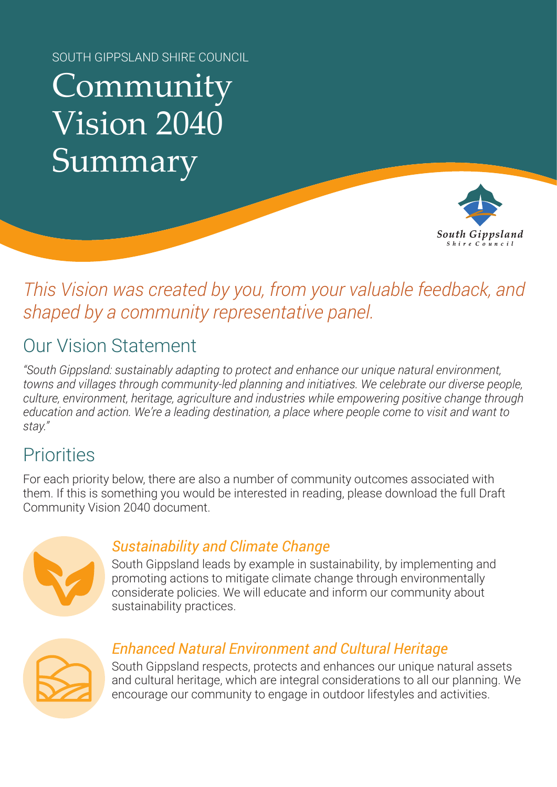SOUTH GIPPSLAND SHIRE COUNCIL

# Community Vision 2040 Summary



# *This Vision was created by you, from your valuable feedback, and shaped by a community representative panel.*

# Our Vision Statement

*"South Gippsland: sustainably adapting to protect and enhance our unique natural environment, towns and villages through community-led planning and initiatives. We celebrate our diverse people, culture, environment, heritage, agriculture and industries while empowering positive change through education and action. We're a leading destination, a place where people come to visit and want to stay."*

## **Priorities**

For each priority below, there are also a number of community outcomes associated with them. If this is something you would be interested in reading, please download the full Draft Community Vision 2040 document.



### *Sustainability and Climate Change*

South Gippsland leads by example in sustainability, by implementing and promoting actions to mitigate climate change through environmentally considerate policies. We will educate and inform our community about sustainability practices.



## *Enhanced Natural Environment and Cultural Heritage*

South Gippsland respects, protects and enhances our unique natural assets and cultural heritage, which are integral considerations to all our planning. We encourage our community to engage in outdoor lifestyles and activities.